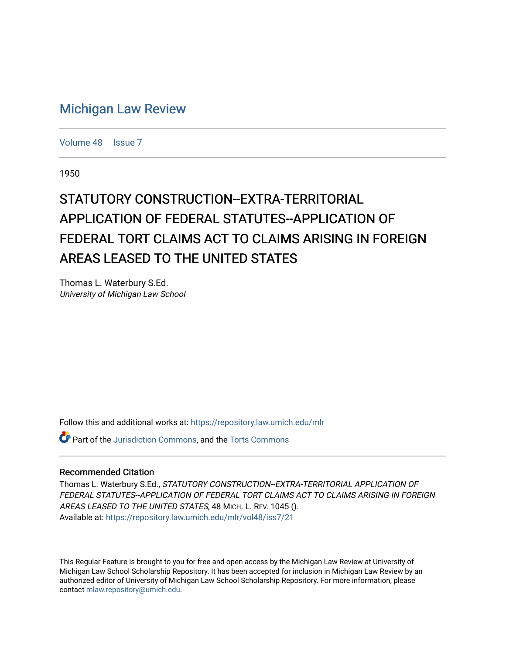## [Michigan Law Review](https://repository.law.umich.edu/mlr)

[Volume 48](https://repository.law.umich.edu/mlr/vol48) | [Issue 7](https://repository.law.umich.edu/mlr/vol48/iss7)

1950

## STATUTORY CONSTRUCTION--EXTRA-TERRITORIAL APPLICATION OF FEDERAL STATUTES--APPLICATION OF FEDERAL TORT CLAIMS ACT TO CLAIMS ARISING IN FOREIGN AREAS LEASED TO THE UNITED STATES

Thomas L. Waterbury S.Ed. University of Michigan Law School

Follow this and additional works at: [https://repository.law.umich.edu/mlr](https://repository.law.umich.edu/mlr?utm_source=repository.law.umich.edu%2Fmlr%2Fvol48%2Fiss7%2F21&utm_medium=PDF&utm_campaign=PDFCoverPages) 

**P** Part of the [Jurisdiction Commons](http://network.bepress.com/hgg/discipline/850?utm_source=repository.law.umich.edu%2Fmlr%2Fvol48%2Fiss7%2F21&utm_medium=PDF&utm_campaign=PDFCoverPages), and the Torts Commons

## Recommended Citation

Thomas L. Waterbury S.Ed., STATUTORY CONSTRUCTION--EXTRA-TERRITORIAL APPLICATION OF FEDERAL STATUTES--APPLICATION OF FEDERAL TORT CLAIMS ACT TO CLAIMS ARISING IN FOREIGN AREAS LEASED TO THE UNITED STATES, 48 MICH. L. REV. 1045 (). Available at: [https://repository.law.umich.edu/mlr/vol48/iss7/21](https://repository.law.umich.edu/mlr/vol48/iss7/21?utm_source=repository.law.umich.edu%2Fmlr%2Fvol48%2Fiss7%2F21&utm_medium=PDF&utm_campaign=PDFCoverPages) 

This Regular Feature is brought to you for free and open access by the Michigan Law Review at University of Michigan Law School Scholarship Repository. It has been accepted for inclusion in Michigan Law Review by an authorized editor of University of Michigan Law School Scholarship Repository. For more information, please contact [mlaw.repository@umich.edu](mailto:mlaw.repository@umich.edu).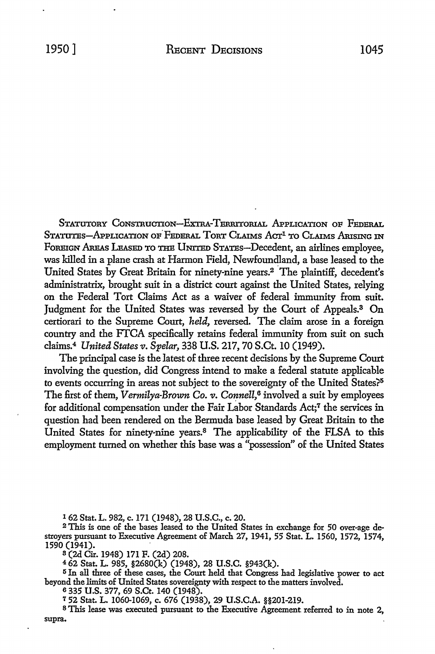STATUTORY CONSTRUCTION-EXTRA-TERRITORIAL APPLICATION OF FEDERAL STATUTES-APPLICATION OF FEDERAL TORT CLAIMS ACT<sup>1</sup> TO CLAIMS ARISING IN FOREIGN AREAS LEASED TO THE UNITED STATES-Decedent, an airlines employee, was killed in a plane crash at Harmon Field, Newfoundland, a base leased *to* the United States by Great Britain for ninety-nine years.<sup>2</sup> The plaintiff, decedent's administratrix, brought suit in a district court against the United States, relying on the Federal Tort Claims Act as a waiver of federal immunity from suit. Judgment for the United States was reversed by the Court of Appeals.3 On certiorari to the Supreme Court, *held,* reversed. The claim arose in a foreign country and the FTCA specifically retains federal immunity from suit on such claims.4 *United States v. Spelar,* 338 U.S. 217, 70 S.Ct. IO (1949).

The principal case is the latest of three recent decisions by the Supreme Court involving the question, did Congress intend to make a federal statute applicable to events occurring in areas not subject to the sovereignty of the United States?<sup>5</sup> The first of them, *Vermilya-Brown Co. v. Connell*,<sup>6</sup> involved a suit by employees for additional compensation under the Fair Labor Standards Act;<sup>7</sup> the services in question had been rendered on the Bermuda base leased by Great Britain to the United States for ninety-nine years.8 The applicability of the FLSA to this employment turned on whether this base was a "possession" of the United States

1 62 Stat. L. 982, c. 171 (1948), 28 U.S.C., c. 20.

2 This is one of the bases leased to the United States in exchange for 50 over-age destroyers pursuant to Executive Agreement of March 27, 1941, 55 Stat. L. 1560, 1572, 1574, 1590 (1941).

s (2d Cir. 1948) 171 F. (2d) 208.

 $462$  Stat. L. 985, §2680(k) (1948), 28 U.S.C. §943(k).

<sup>5</sup>In all three of these cases, the Court held that Congress had legislative power to act beyond the limits of United States sovereignty with respect to the matters involved.

6 335 U.S. 377, 69 S.Ct. 140 (1948).

<sup>7</sup>52 Stat. L. 1060-1069, c. 676 (1938), 29 U.S.C.A. §§201-219.

8 This lease was executed pursuant to the Executive Agreement referred to in note 2, supra.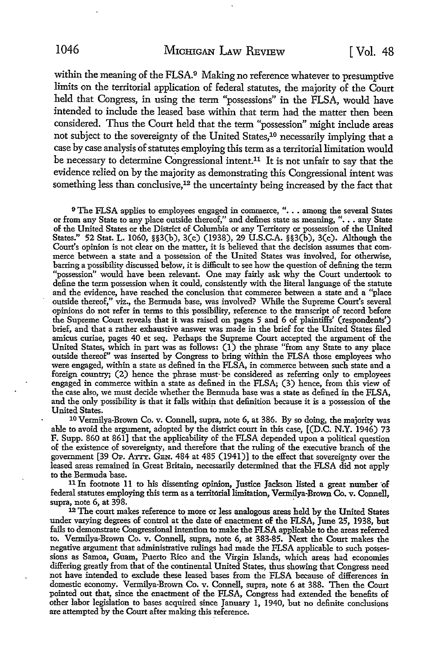within the meaning of the FLSA.<sup>9</sup> Making no reference whatever to presumptive limits on the territorial application of federal statutes, the majority of the Court held that Congress, in using the term "possessions" in the FLSA, would have intended to include the leased base within that term had the matter then been considered. Thus the Court held that the term "possession" might include areas not subject to the sovereignty of the United States,<sup>10</sup> necessarily implying that a case by case analysis of statutes employing this term as a territorial limitation would be necessary to determine Congressional intent.<sup>11</sup> It is not unfair to say that the evidence relied on by the majority as demonstrating this Congressional intent was something less than conclusive,<sup>12</sup> the uncertainty being increased by the fact that

<sup>9</sup> The FLSA applies to employees engaged in commerce, ". . . among the several States or from any State to any place outside thereof," and defines state as meaning, ". . . any State of the United States or the District of Columbia or any Territory or possession of the United States." 52 Stat. L. 1060, §§3(b), 3(c) (1938), 29 U.S.C.A. §§3(b), 3(c). Although the Court's opinion is not clear on the matter, it is believed that the decision assumes that commerce between a state and a possession of the United States was involved, for otherwise, barring a possibility discussed below, it is difficult to see how the question of defining the term "possession" would have been relevant. One may fairly ask why the Court undertook to define the term possession when it could, consistently with the literal language of the statute and the evidence, have reached the conclusion that commerce between a state and a "place outside thereof," viz., the Bermuda base, was involved? While the Supreme Court's several opinions do not refer in terms to this possibility, reference to the transcript of record before the Supreme Court reveals that it was raised on pages 5 and 6 of plaintiffs' (respondents') brief, and that a rather exhaustive answer was made in the brief for the United States filed amicus curiae, pages 40 et seq. Perhaps the Supreme Court accepted the argument of the United States, which in part was as follows: (1) the phrase "from any State to any place outside thereof" was inserted by Congress to bring within the FLSA those employees who were engaged, within a state as defined in the FLSA, in commerce between such state and a foreign country; (2) hence the phrase must· be considered as referring only to employees engaged in commerce within a state as defined in the FLSA; (3) hence, from this view of the case also, we must decide whether the Bermuda base was a state as defined in the FLSA, and the only possibility is that it falls within that definition because it is a possession of the United States.

<sup>10</sup> Vermilya-Brown Co. v. Connell, supra, note 6, at 386. By so doing, the majority was able to avoid the argument, adopted by the district court in this case, [(D.C. N.Y. 1946) 73 F. Supp. 860 at 861] that the applicability of the FLSA depended upon a political question of the existence of sovereignty, and therefore that the ruling of the executive branch of the government [39 Op. ATTY. GEN.  $484$  at  $485$  (1941)] to the effect that sovereignty over the leased areas remained in.Great Britain, necessarily determined that the FLSA did not apply to the Bermuda base.

<sup>11</sup>In footnote 11 to his dissenting opinion, Justice Jackson listed a great number ·of federal statutes employing this term as a territorial limitation, Vermilya-Brown Co. v. Connell, supra, note 6, at 398.

<sup>12</sup> The court makes reference to more or less analogous areas held by the United States under varying degrees of control at the date of enactment of the FLSA, June 25, 1938, but fails to demonstrate Congressional intention to make the FLSA applicable to the areas referred to. Vermilya-Brown Co. v. Connell, supra, note 6, at 383-85. Next the Court makes the negative argument that administrative rulings had made the FLSA applicable to such possessions as Samoa, Guam, Puerto Rico and the Virgin Islands, which areas had economies differing greatly from that of the continental United States, thus showing that Congress need not have intended to exclude these leased bases from the FLSA because of differences in domestic economy. Vermilya-Brown Co. v. Connell, supra, note 6 at 388. Then the Court pointed out that, since the enactment of the FLSA, Congress had extended the benefits of other labor legislation to bases acquired since January 1, 1940, but no definite conclusions are attempted by the Court after making this reference.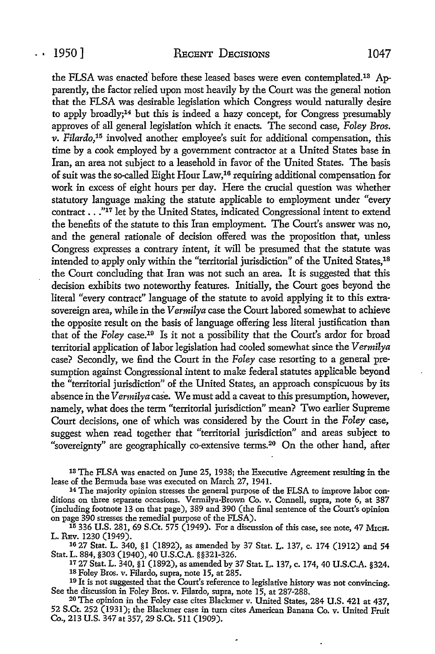the FLSA was enacted'before these leased bases were even contemplated.13 Apparently, the factor relied upon most heavily by the Court was the general notion that the FLSA was desirable legislation which Congress would naturally desire to apply broadly;14 but this is indeed a hazy concept, for Congress presumably approves of all general legislation which it enacts. The second case, *Foley Bros.*  v. Filardo,<sup>15</sup> involved another employee's suit for additional compensation, this time by a cook employed by a government contractor at a United States base in Iran, an area not subject to a leasehold in favor of the United States. The basis of suit was the so-called Eight Hour Law, 16 requiring additional compensation for work in excess of eight hours per day. Here the crucial question was whether statutory language making the statute applicable to employment under "every contract •.. "17 let by the United States, indicated Congressional intent to extend the benefits of the statute to this Iran employment. The Court's answer was no, and the general rationale of decision offered was the proposition that, unless Congress expresses a contrary intent, it will be presumed that the statute was intended to apply only within the "territorial jurisdiction" of the United States,<sup>18</sup> the Court concluding that Iran was not such an area. It is suggested that this decision exhibits two noteworthy features. Initially, the Court goes beyond the literal "every contract" language of the statute to avoid applying it to this extrasovereign area, while in the *Vermilya* case the Court labored somewhat to achieve the opposite result on the basis of language offering less literal justification than that of the *Foley* case.19 Is it not a possibility that the Court's ardor for broad territorial application of labor legislation had cooled somewhat since the *Vermilya*  case? Secondly, we find the Court in the *Foley* case resorting *to* a general presumption against Congressional intent *to* make federal statutes applicable beyond the "territorial jurisdiction" of the United States, an approach conspicuous by its absence in the *Vermilya* case. We must add a caveat to this presumption, however, namely, what does the term "territorial jurisdiction" mean? Two earlier Supreme Court decisions, one of which was considered by the Court in the *Foley* case, suggest when read together that "territorial jurisdiction" and areas subject to "sovereignty" are geographically co-extensive terms.<sup>20</sup> On the other hand, after

13 The FLSA was enacted on June 25, 1938; the Executive Agreement resulting :in the lease of the Bermuda base was executed on March 27, 1941.

<sup>14</sup> The majority opinion stresses the general purpose of the FLSA to improve labor conditions on three separate occasions. Vermilya-Brown Co. v. Connell, supra, note 6, at 387 (including footnote 13 on that page), 389 and 390 (the final sentence of the Court's opinion on page 390 stresses the remedial purpose of the FLSA).

15 336 U.S. 281, 69 S.Ct. 575 (1949). For a discussion of this case, see note, 47 MicH. L. REv. 1230 (1949).

16 27 Stat. L. 340, §1 (1892), as amended by 37 Stat. L. 137, c. 174 (1912) and 54

<sup>17</sup> 27 Stat. L. 340, §1 (1892), as amended by 37 Stat. L. 137, c. 174, 40 U.S.C.A. §324.<br><sup>18</sup> Foley Bros. v. Filardo, supra, note 15, at 285.<br><sup>19</sup> It is not suggested that the Court's reference to legislative history was

<sup>20</sup> The opinion in the Foley case cites Blackmer v. United States, 284 U.S. 421 at 437, 52 S.Ct. 252 (1931); the Blackmer case in turn cites American Banana Co. v. United Fruit Co., 213 U.S. 347 at 357, 29 S.Ct. 511 (1909).